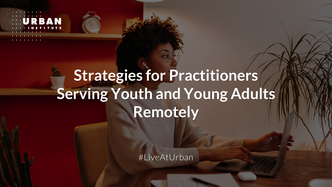# **Strategies for Practitioners Serving Youth and Young Adults Remotely**

#LiveAtUrban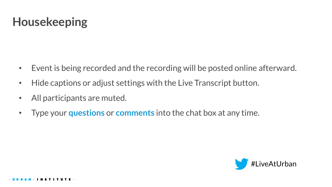### **Housekeeping**

- Event is being recorded and the recording will be posted online afterward.
- Hide captions or adjust settings with the Live Transcript button.
- All participants are muted.
- Type your **questions** or **comments** into the chat box at any time.

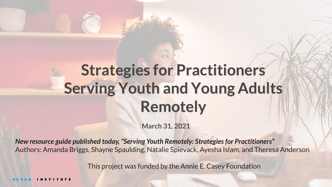# **Strategies for Practitioners Serving Youth and Young Adults Remotely**

**March 31, 2021**

*New resource guide published today, "Serving Youth Remotely: Strategies for Practitioners"*  Authors: Amanda Briggs, Shayne Spaulding, Natalie Spievack, Ayesha Islam, and Theresa Anderson

This project was funded by the Annie E. Casey Foundation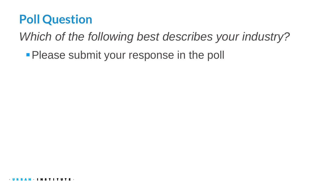### **Poll Question**

*Which of the following best describes your industry?* 

**• Please submit your response in the poll**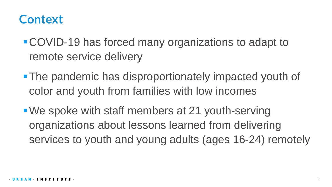### **Context**

- COVID-19 has forced many organizations to adapt to remote service delivery
- **The pandemic has disproportionately impacted youth of** color and youth from families with low incomes
- We spoke with staff members at 21 youth-serving organizations about lessons learned from delivering services to youth and young adults (ages 16-24) remotely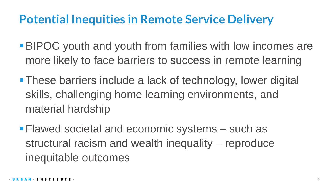### **Potential Inequities in Remote Service Delivery**

- **BIPOC** youth and youth from families with low incomes are more likely to face barriers to success in remote learning
- **These barriers include a lack of technology, lower digital** skills, challenging home learning environments, and material hardship
- **Example 23 Flawed societal and economic systems such as** structural racism and wealth inequality – reproduce inequitable outcomes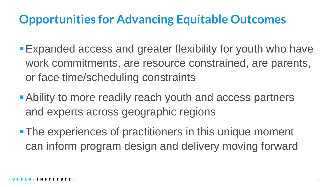### **Opportunities for Advancing Equitable Outcomes**

- Expanded access and greater flexibility for youth who have work commitments, are resource constrained, are parents, or face time/scheduling constraints
- **Ability to more readily reach youth and access partners** and experts across geographic regions
- **The experiences of practitioners in this unique moment** can inform program design and delivery moving forward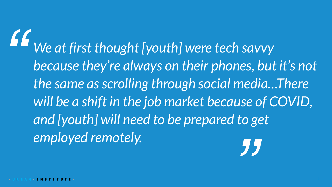*We at first thought [youth] were tech savvy because they're always on their phones, but it's not the same as scrolling through social media…There will be a shift in the job market because of COVID, and [youth] will need to be prepared to get employed remotely. " "*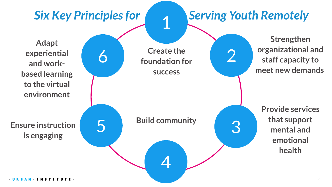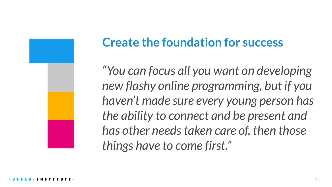

## **Create the foundation for success**

*"You can focus all you want on developing new flashy online programming, but if you haven't made sure every young person has the ability to connect and be present and has other needs taken care of, then those things have to come first."*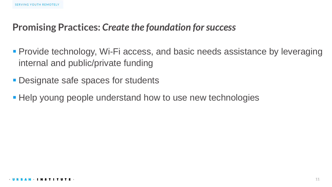#### **Promising Practices:** *Create the foundation for success*

- **Provide technology, Wi-Fi access, and basic needs assistance by leveraging** internal and public/private funding
- **Designate safe spaces for students**
- Help young people understand how to use new technologies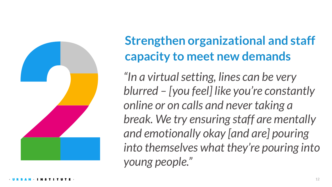

## **Strengthen organizational and staff capacity to meet new demands**

*"In a virtual setting, lines can be very blurred – [you feel] like you're constantly online or on calls and never taking a break. We try ensuring staff are mentally and emotionally okay [and are] pouring into themselves what they're pouring into young people."*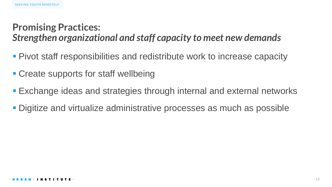#### **Promising Practices:**  *Strengthen organizational and staff capacity to meet new demands*

- **Pivot staff responsibilities and redistribute work to increase capacity**
- Create supports for staff wellbeing
- Exchange ideas and strategies through internal and external networks
- **Digitize and virtualize administrative processes as much as possible**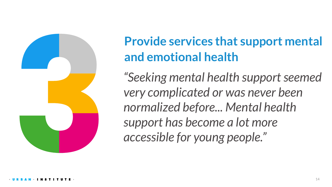

## **Provide services that support mental and emotional health**

*"Seeking mental health support seemed very complicated or was never been normalized before... Mental health support has become a lot more accessible for young people."*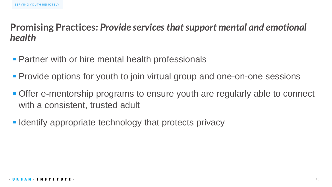#### **Promising Practices:** *Provide services that support mental and emotional health*

- **Partner with or hire mental health professionals**
- **Provide options for youth to join virtual group and one-on-one sessions**
- **Offer e-mentorship programs to ensure youth are regularly able to connect** with a consistent, trusted adult
- **Identify appropriate technology that protects privacy**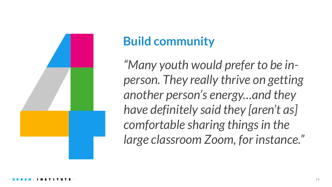

## **Build community**

*"Many youth would prefer to be inperson. They really thrive on getting another person's energy…and they have definitely said they [aren't as] comfortable sharing things in the large classroom Zoom, for instance."*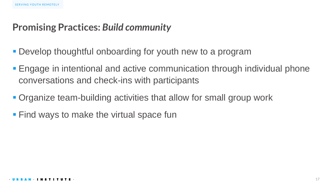#### **Promising Practices:** *Build community*

- **Develop thoughtful onboarding for youth new to a program**
- Engage in intentional and active communication through individual phone conversations and check-ins with participants
- Organize team-building activities that allow for small group work
- Find ways to make the virtual space fun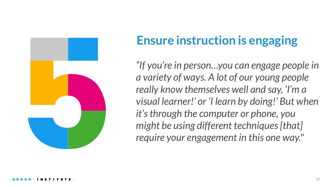

## **Ensure instruction is engaging**

*"If you're in person…you can engage people in a variety of ways. A lot of our young people really know themselves well and say, 'I'm a visual learner!' or 'I learn by doing!' But when it's through the computer or phone, you might be using different techniques [that] require your engagement in this one way."*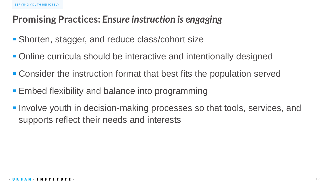#### **Promising Practices:** *Ensure instruction is engaging*

- Shorten, stagger, and reduce class/cohort size
- Online curricula should be interactive and intentionally designed
- Consider the instruction format that best fits the population served
- Embed flexibility and balance into programming
- **. Involve youth in decision-making processes so that tools, services, and** supports reflect their needs and interests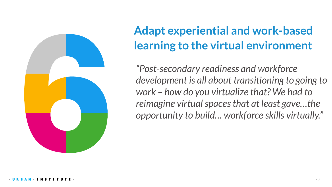

## **Adapt experiential and work-based learning to the virtual environment**

*"Post-secondary readiness and workforce development is all about transitioning to going to work – how do you virtualize that? We had to reimagine virtual spaces that at least gave…the opportunity to build… workforce skills virtually."*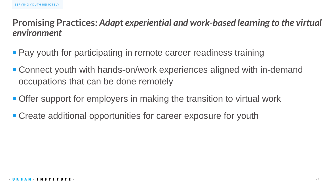#### **Promising Practices:** *Adapt experiential and work-based learning to the virtual environment*

- Pay youth for participating in remote career readiness training
- Connect youth with hands-on/work experiences aligned with in-demand occupations that can be done remotely
- Offer support for employers in making the transition to virtual work
- Create additional opportunities for career exposure for youth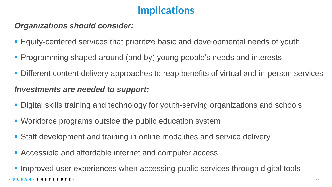#### **Implications**

#### *Organizations should consider:*

- Equity-centered services that prioritize basic and developmental needs of youth
- Programming shaped around (and by) young people's needs and interests
- Different content delivery approaches to reap benefits of virtual and in-person services

#### *Investments are needed to support:*

- Digital skills training and technology for youth-serving organizations and schools
- Workforce programs outside the public education system
- Staff development and training in online modalities and service delivery
- Accessible and affordable internet and computer access

**. Improved user experiences when accessing public services through digital tools**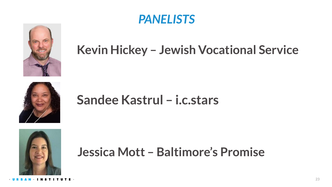

### *PANELISTS*

## **Kevin Hickey – Jewish Vocational Service**



## **Sandee Kastrul – i.c.stars**



### **Jessica Mott – Baltimore's Promise**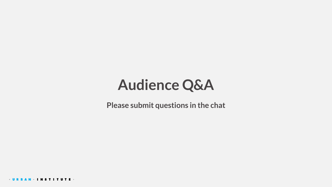## **Audience Q&A**

**Please submit questions in the chat**

 $-$ **UR AN** · INSTITUTE ·